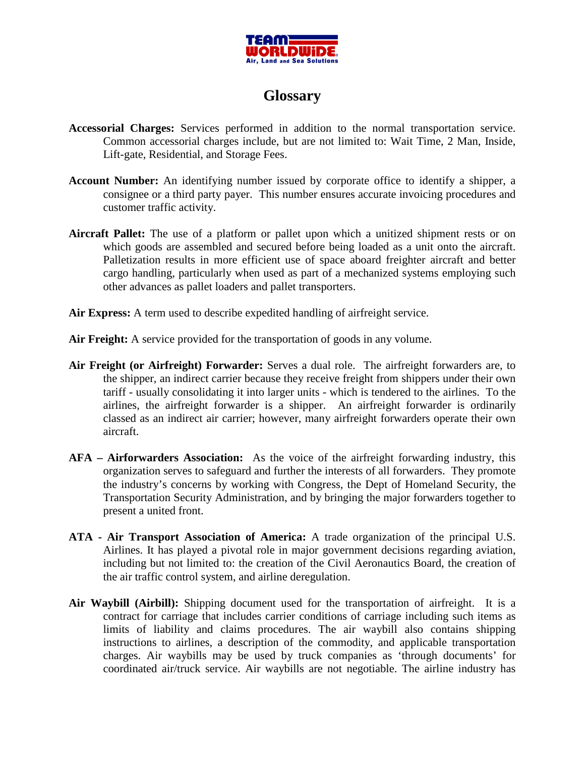

## **Glossary**

- **Accessorial Charges:** Services performed in addition to the normal transportation service. Common accessorial charges include, but are not limited to: Wait Time, 2 Man, Inside, Lift-gate, Residential, and Storage Fees.
- **Account Number:** An identifying number issued by corporate office to identify a shipper, a consignee or a third party payer. This number ensures accurate invoicing procedures and customer traffic activity.
- **Aircraft Pallet:** The use of a platform or pallet upon which a unitized shipment rests or on which goods are assembled and secured before being loaded as a unit onto the aircraft. Palletization results in more efficient use of space aboard freighter aircraft and better cargo handling, particularly when used as part of a mechanized systems employing such other advances as pallet loaders and pallet transporters.
- **Air Express:** A term used to describe expedited handling of airfreight service.
- Air Freight: A service provided for the transportation of goods in any volume.
- **Air Freight (or Airfreight) Forwarder:** Serves a dual role. The airfreight forwarders are, to the shipper, an indirect carrier because they receive freight from shippers under their own tariff - usually consolidating it into larger units - which is tendered to the airlines. To the airlines, the airfreight forwarder is a shipper. An airfreight forwarder is ordinarily classed as an indirect air carrier; however, many airfreight forwarders operate their own aircraft.
- **AFA Airforwarders Association:** As the voice of the airfreight forwarding industry, this organization serves to safeguard and further the interests of all forwarders. They promote the industry's concerns by working with Congress, the Dept of Homeland Security, the Transportation Security Administration, and by bringing the major forwarders together to present a united front.
- **ATA Air Transport Association of America:** A trade organization of the principal U.S. Airlines. It has played a pivotal role in major government decisions regarding aviation, including but not limited to: the creation of the Civil Aeronautics Board, the creation of the air traffic control system, and airline deregulation.
- **Air Waybill (Airbill):** Shipping document used for the transportation of airfreight. It is a contract for carriage that includes carrier conditions of carriage including such items as limits of liability and claims procedures. The air waybill also contains shipping instructions to airlines, a description of the commodity, and applicable transportation charges. Air waybills may be used by truck companies as 'through documents' for coordinated air/truck service. Air waybills are not negotiable. The airline industry has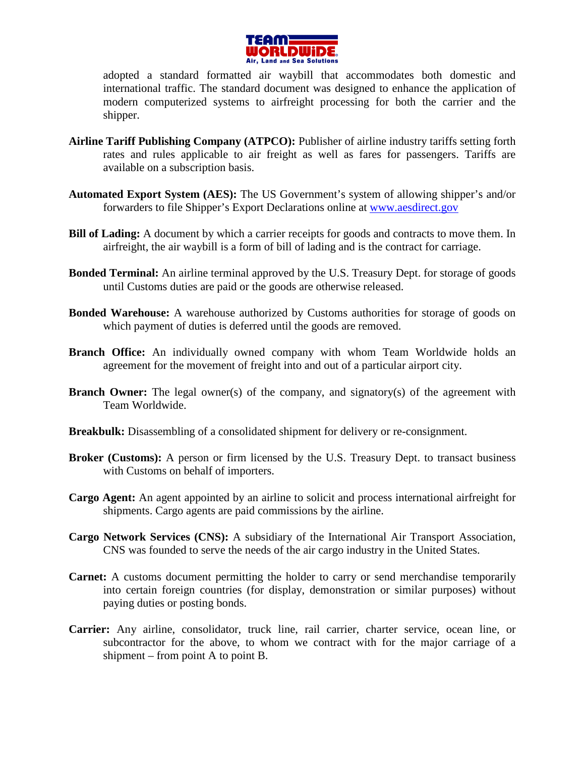

adopted a standard formatted air waybill that accommodates both domestic and international traffic. The standard document was designed to enhance the application of modern computerized systems to airfreight processing for both the carrier and the shipper.

- **Airline Tariff Publishing Company (ATPCO):** Publisher of airline industry tariffs setting forth rates and rules applicable to air freight as well as fares for passengers. Tariffs are available on a subscription basis.
- **Automated Export System (AES):** The US Government's system of allowing shipper's and/or forwarders to file Shipper's Export Declarations online at www.aesdirect.gov
- **Bill of Lading:** A document by which a carrier receipts for goods and contracts to move them. In airfreight, the air waybill is a form of bill of lading and is the contract for carriage.
- **Bonded Terminal:** An airline terminal approved by the U.S. Treasury Dept. for storage of goods until Customs duties are paid or the goods are otherwise released.
- **Bonded Warehouse:** A warehouse authorized by Customs authorities for storage of goods on which payment of duties is deferred until the goods are removed.
- **Branch Office:** An individually owned company with whom Team Worldwide holds an agreement for the movement of freight into and out of a particular airport city.
- **Branch Owner:** The legal owner(s) of the company, and signatory(s) of the agreement with Team Worldwide.
- **Breakbulk:** Disassembling of a consolidated shipment for delivery or re-consignment.
- **Broker (Customs):** A person or firm licensed by the U.S. Treasury Dept. to transact business with Customs on behalf of importers.
- **Cargo Agent:** An agent appointed by an airline to solicit and process international airfreight for shipments. Cargo agents are paid commissions by the airline.
- **Cargo Network Services (CNS):** A subsidiary of the International Air Transport Association, CNS was founded to serve the needs of the air cargo industry in the United States.
- **Carnet:** A customs document permitting the holder to carry or send merchandise temporarily into certain foreign countries (for display, demonstration or similar purposes) without paying duties or posting bonds.
- **Carrier:** Any airline, consolidator, truck line, rail carrier, charter service, ocean line, or subcontractor for the above, to whom we contract with for the major carriage of a shipment – from point A to point B.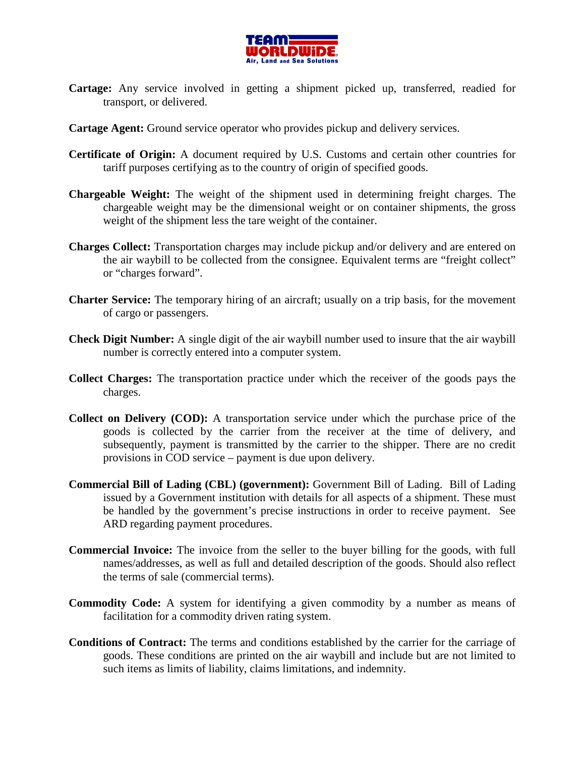

- **Cartage:** Any service involved in getting a shipment picked up, transferred, readied for transport, or delivered.
- **Cartage Agent:** Ground service operator who provides pickup and delivery services.
- **Certificate of Origin:** A document required by U.S. Customs and certain other countries for tariff purposes certifying as to the country of origin of specified goods.
- **Chargeable Weight:** The weight of the shipment used in determining freight charges. The chargeable weight may be the dimensional weight or on container shipments, the gross weight of the shipment less the tare weight of the container.
- **Charges Collect:** Transportation charges may include pickup and/or delivery and are entered on the air waybill to be collected from the consignee. Equivalent terms are "freight collect" or "charges forward".
- **Charter Service:** The temporary hiring of an aircraft; usually on a trip basis, for the movement of cargo or passengers.
- **Check Digit Number:** A single digit of the air waybill number used to insure that the air waybill number is correctly entered into a computer system.
- **Collect Charges:** The transportation practice under which the receiver of the goods pays the charges.
- **Collect on Delivery (COD):** A transportation service under which the purchase price of the goods is collected by the carrier from the receiver at the time of delivery, and subsequently, payment is transmitted by the carrier to the shipper. There are no credit provisions in COD service – payment is due upon delivery.
- **Commercial Bill of Lading (CBL) (government):** Government Bill of Lading. Bill of Lading issued by a Government institution with details for all aspects of a shipment. These must be handled by the government's precise instructions in order to receive payment. See ARD regarding payment procedures.
- **Commercial Invoice:** The invoice from the seller to the buyer billing for the goods, with full names/addresses, as well as full and detailed description of the goods. Should also reflect the terms of sale (commercial terms).
- **Commodity Code:** A system for identifying a given commodity by a number as means of facilitation for a commodity driven rating system.
- **Conditions of Contract:** The terms and conditions established by the carrier for the carriage of goods. These conditions are printed on the air waybill and include but are not limited to such items as limits of liability, claims limitations, and indemnity.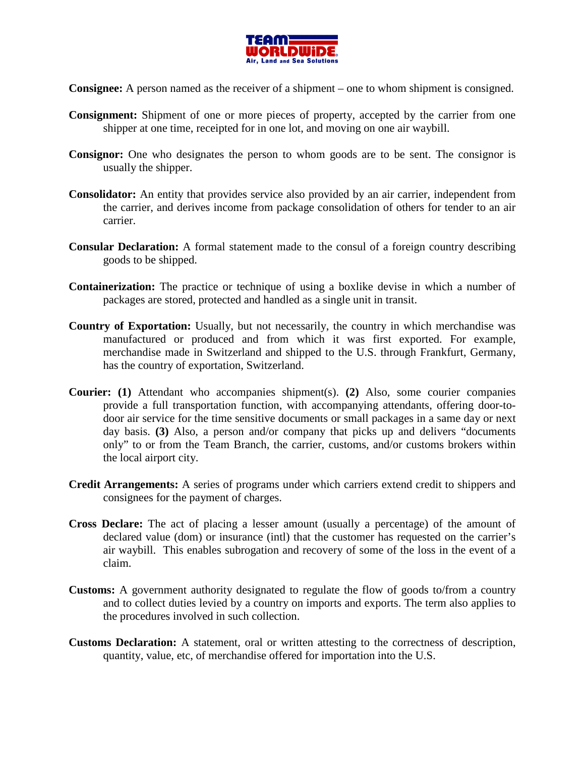

**Consignee:** A person named as the receiver of a shipment – one to whom shipment is consigned.

- **Consignment:** Shipment of one or more pieces of property, accepted by the carrier from one shipper at one time, receipted for in one lot, and moving on one air waybill.
- **Consignor:** One who designates the person to whom goods are to be sent. The consignor is usually the shipper.
- **Consolidator:** An entity that provides service also provided by an air carrier, independent from the carrier, and derives income from package consolidation of others for tender to an air carrier.
- **Consular Declaration:** A formal statement made to the consul of a foreign country describing goods to be shipped.
- **Containerization:** The practice or technique of using a boxlike devise in which a number of packages are stored, protected and handled as a single unit in transit.
- **Country of Exportation:** Usually, but not necessarily, the country in which merchandise was manufactured or produced and from which it was first exported. For example, merchandise made in Switzerland and shipped to the U.S. through Frankfurt, Germany, has the country of exportation, Switzerland.
- **Courier: (1)** Attendant who accompanies shipment(s). **(2)** Also, some courier companies provide a full transportation function, with accompanying attendants, offering door-todoor air service for the time sensitive documents or small packages in a same day or next day basis. **(3)** Also, a person and/or company that picks up and delivers "documents only" to or from the Team Branch, the carrier, customs, and/or customs brokers within the local airport city.
- **Credit Arrangements:** A series of programs under which carriers extend credit to shippers and consignees for the payment of charges.
- **Cross Declare:** The act of placing a lesser amount (usually a percentage) of the amount of declared value (dom) or insurance (intl) that the customer has requested on the carrier's air waybill. This enables subrogation and recovery of some of the loss in the event of a claim.
- **Customs:** A government authority designated to regulate the flow of goods to/from a country and to collect duties levied by a country on imports and exports. The term also applies to the procedures involved in such collection.
- **Customs Declaration:** A statement, oral or written attesting to the correctness of description, quantity, value, etc, of merchandise offered for importation into the U.S.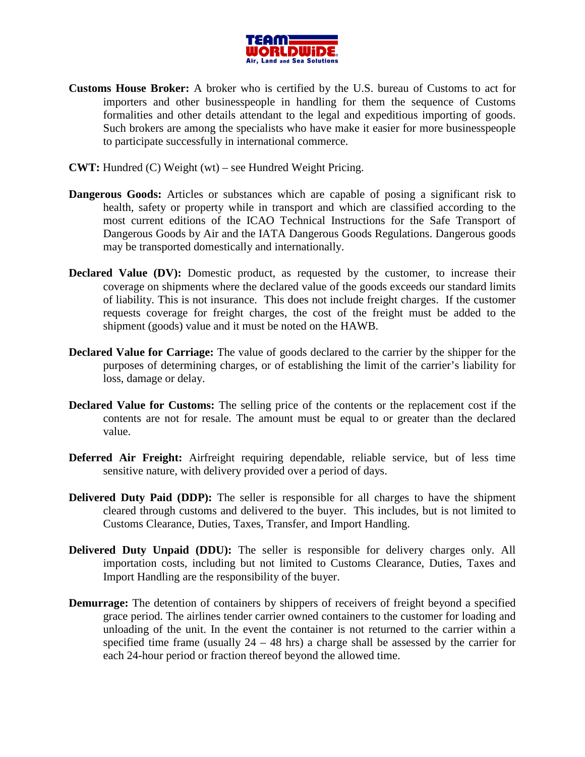

- **Customs House Broker:** A broker who is certified by the U.S. bureau of Customs to act for importers and other businesspeople in handling for them the sequence of Customs formalities and other details attendant to the legal and expeditious importing of goods. Such brokers are among the specialists who have make it easier for more businesspeople to participate successfully in international commerce.
- **CWT:** Hundred (C) Weight (wt) see Hundred Weight Pricing.
- **Dangerous Goods:** Articles or substances which are capable of posing a significant risk to health, safety or property while in transport and which are classified according to the most current editions of the ICAO Technical Instructions for the Safe Transport of Dangerous Goods by Air and the IATA Dangerous Goods Regulations. Dangerous goods may be transported domestically and internationally.
- **Declared Value (DV):** Domestic product, as requested by the customer, to increase their coverage on shipments where the declared value of the goods exceeds our standard limits of liability. This is not insurance. This does not include freight charges. If the customer requests coverage for freight charges, the cost of the freight must be added to the shipment (goods) value and it must be noted on the HAWB.
- **Declared Value for Carriage:** The value of goods declared to the carrier by the shipper for the purposes of determining charges, or of establishing the limit of the carrier's liability for loss, damage or delay.
- **Declared Value for Customs:** The selling price of the contents or the replacement cost if the contents are not for resale. The amount must be equal to or greater than the declared value.
- **Deferred Air Freight:** Airfreight requiring dependable, reliable service, but of less time sensitive nature, with delivery provided over a period of days.
- **Delivered Duty Paid (DDP):** The seller is responsible for all charges to have the shipment cleared through customs and delivered to the buyer. This includes, but is not limited to Customs Clearance, Duties, Taxes, Transfer, and Import Handling.
- **Delivered Duty Unpaid (DDU):** The seller is responsible for delivery charges only. All importation costs, including but not limited to Customs Clearance, Duties, Taxes and Import Handling are the responsibility of the buyer.
- **Demurrage:** The detention of containers by shippers of receivers of freight beyond a specified grace period. The airlines tender carrier owned containers to the customer for loading and unloading of the unit. In the event the container is not returned to the carrier within a specified time frame (usually  $24 - 48$  hrs) a charge shall be assessed by the carrier for each 24-hour period or fraction thereof beyond the allowed time.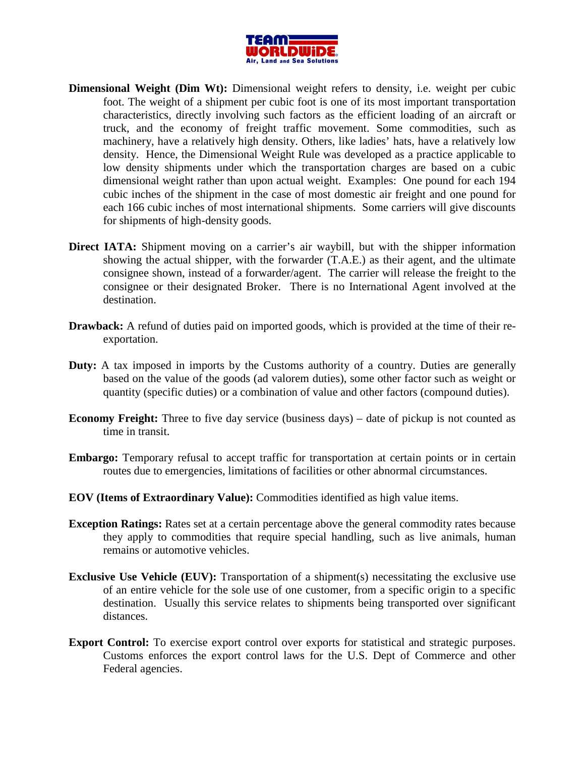

- **Dimensional Weight (Dim Wt):** Dimensional weight refers to density, i.e. weight per cubic foot. The weight of a shipment per cubic foot is one of its most important transportation characteristics, directly involving such factors as the efficient loading of an aircraft or truck, and the economy of freight traffic movement. Some commodities, such as machinery, have a relatively high density. Others, like ladies' hats, have a relatively low density. Hence, the Dimensional Weight Rule was developed as a practice applicable to low density shipments under which the transportation charges are based on a cubic dimensional weight rather than upon actual weight. Examples: One pound for each 194 cubic inches of the shipment in the case of most domestic air freight and one pound for each 166 cubic inches of most international shipments. Some carriers will give discounts for shipments of high-density goods.
- **Direct IATA:** Shipment moving on a carrier's air waybill, but with the shipper information showing the actual shipper, with the forwarder (T.A.E.) as their agent, and the ultimate consignee shown, instead of a forwarder/agent. The carrier will release the freight to the consignee or their designated Broker. There is no International Agent involved at the destination.
- **Drawback:** A refund of duties paid on imported goods, which is provided at the time of their reexportation.
- **Duty:** A tax imposed in imports by the Customs authority of a country. Duties are generally based on the value of the goods (ad valorem duties), some other factor such as weight or quantity (specific duties) or a combination of value and other factors (compound duties).
- **Economy Freight:** Three to five day service (business days) date of pickup is not counted as time in transit.
- **Embargo:** Temporary refusal to accept traffic for transportation at certain points or in certain routes due to emergencies, limitations of facilities or other abnormal circumstances.
- **EOV (Items of Extraordinary Value):** Commodities identified as high value items.
- **Exception Ratings:** Rates set at a certain percentage above the general commodity rates because they apply to commodities that require special handling, such as live animals, human remains or automotive vehicles.
- **Exclusive Use Vehicle (EUV):** Transportation of a shipment(s) necessitating the exclusive use of an entire vehicle for the sole use of one customer, from a specific origin to a specific destination. Usually this service relates to shipments being transported over significant distances.
- **Export Control:** To exercise export control over exports for statistical and strategic purposes. Customs enforces the export control laws for the U.S. Dept of Commerce and other Federal agencies.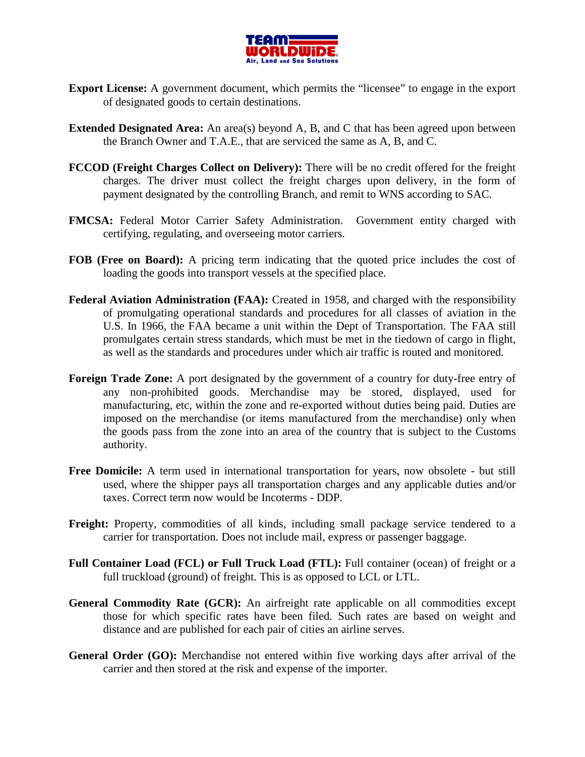

- **Export License:** A government document, which permits the "licensee" to engage in the export of designated goods to certain destinations.
- **Extended Designated Area:** An area(s) beyond A, B, and C that has been agreed upon between the Branch Owner and T.A.E., that are serviced the same as A, B, and C.
- **FCCOD (Freight Charges Collect on Delivery):** There will be no credit offered for the freight charges. The driver must collect the freight charges upon delivery, in the form of payment designated by the controlling Branch, and remit to WNS according to SAC.
- **FMCSA:** Federal Motor Carrier Safety Administration. Government entity charged with certifying, regulating, and overseeing motor carriers.
- **FOB (Free on Board):** A pricing term indicating that the quoted price includes the cost of loading the goods into transport vessels at the specified place.
- Federal Aviation Administration (FAA): Created in 1958, and charged with the responsibility of promulgating operational standards and procedures for all classes of aviation in the U.S. In 1966, the FAA became a unit within the Dept of Transportation. The FAA still promulgates certain stress standards, which must be met in the tiedown of cargo in flight, as well as the standards and procedures under which air traffic is routed and monitored.
- **Foreign Trade Zone:** A port designated by the government of a country for duty-free entry of any non-prohibited goods. Merchandise may be stored, displayed, used for manufacturing, etc, within the zone and re-exported without duties being paid. Duties are imposed on the merchandise (or items manufactured from the merchandise) only when the goods pass from the zone into an area of the country that is subject to the Customs authority.
- **Free Domicile:** A term used in international transportation for years, now obsolete but still used, where the shipper pays all transportation charges and any applicable duties and/or taxes. Correct term now would be Incoterms - DDP.
- **Freight:** Property, commodities of all kinds, including small package service tendered to a carrier for transportation. Does not include mail, express or passenger baggage.
- **Full Container Load (FCL) or Full Truck Load (FTL):** Full container (ocean) of freight or a full truckload (ground) of freight. This is as opposed to LCL or LTL.
- **General Commodity Rate (GCR):** An airfreight rate applicable on all commodities except those for which specific rates have been filed. Such rates are based on weight and distance and are published for each pair of cities an airline serves.
- **General Order (GO):** Merchandise not entered within five working days after arrival of the carrier and then stored at the risk and expense of the importer.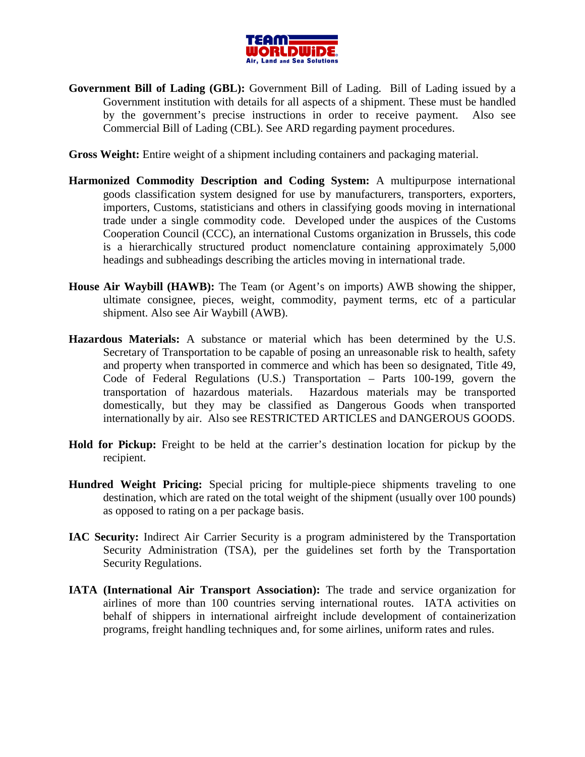

**Government Bill of Lading (GBL):** Government Bill of Lading. Bill of Lading issued by a Government institution with details for all aspects of a shipment. These must be handled by the government's precise instructions in order to receive payment. Also see Commercial Bill of Lading (CBL). See ARD regarding payment procedures.

**Gross Weight:** Entire weight of a shipment including containers and packaging material.

- **Harmonized Commodity Description and Coding System:** A multipurpose international goods classification system designed for use by manufacturers, transporters, exporters, importers, Customs, statisticians and others in classifying goods moving in international trade under a single commodity code. Developed under the auspices of the Customs Cooperation Council (CCC), an international Customs organization in Brussels, this code is a hierarchically structured product nomenclature containing approximately 5,000 headings and subheadings describing the articles moving in international trade.
- **House Air Waybill (HAWB):** The Team (or Agent's on imports) AWB showing the shipper, ultimate consignee, pieces, weight, commodity, payment terms, etc of a particular shipment. Also see Air Waybill (AWB).
- **Hazardous Materials:** A substance or material which has been determined by the U.S. Secretary of Transportation to be capable of posing an unreasonable risk to health, safety and property when transported in commerce and which has been so designated, Title 49, Code of Federal Regulations (U.S.) Transportation – Parts 100-199, govern the transportation of hazardous materials. Hazardous materials may be transported domestically, but they may be classified as Dangerous Goods when transported internationally by air. Also see RESTRICTED ARTICLES and DANGEROUS GOODS.
- **Hold for Pickup:** Freight to be held at the carrier's destination location for pickup by the recipient.
- **Hundred Weight Pricing:** Special pricing for multiple-piece shipments traveling to one destination, which are rated on the total weight of the shipment (usually over 100 pounds) as opposed to rating on a per package basis.
- **IAC Security:** Indirect Air Carrier Security is a program administered by the Transportation Security Administration (TSA), per the guidelines set forth by the Transportation Security Regulations.
- **IATA (International Air Transport Association):** The trade and service organization for airlines of more than 100 countries serving international routes. IATA activities on behalf of shippers in international airfreight include development of containerization programs, freight handling techniques and, for some airlines, uniform rates and rules.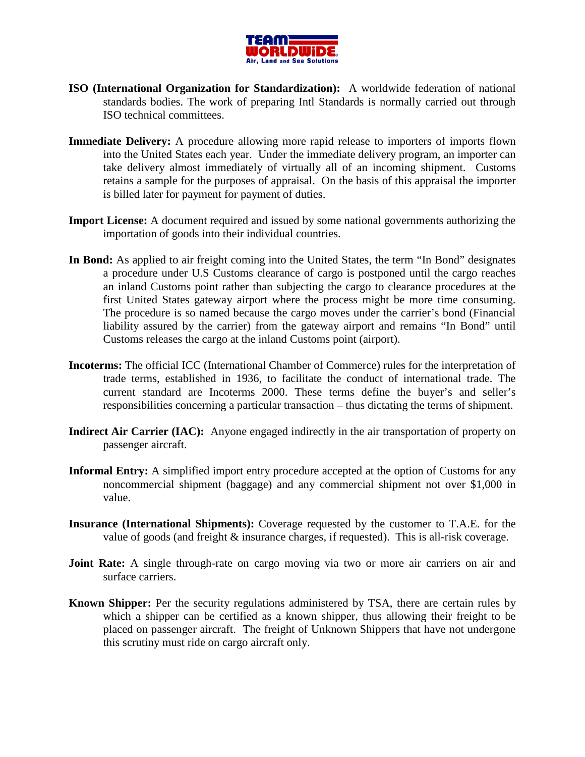

- **ISO (International Organization for Standardization):** A worldwide federation of national standards bodies. The work of preparing Intl Standards is normally carried out through ISO technical committees.
- **Immediate Delivery:** A procedure allowing more rapid release to importers of imports flown into the United States each year. Under the immediate delivery program, an importer can take delivery almost immediately of virtually all of an incoming shipment. Customs retains a sample for the purposes of appraisal. On the basis of this appraisal the importer is billed later for payment for payment of duties.
- **Import License:** A document required and issued by some national governments authorizing the importation of goods into their individual countries.
- **In Bond:** As applied to air freight coming into the United States, the term "In Bond" designates a procedure under U.S Customs clearance of cargo is postponed until the cargo reaches an inland Customs point rather than subjecting the cargo to clearance procedures at the first United States gateway airport where the process might be more time consuming. The procedure is so named because the cargo moves under the carrier's bond (Financial liability assured by the carrier) from the gateway airport and remains "In Bond" until Customs releases the cargo at the inland Customs point (airport).
- **Incoterms:** The official ICC (International Chamber of Commerce) rules for the interpretation of trade terms, established in 1936, to facilitate the conduct of international trade. The current standard are Incoterms 2000. These terms define the buyer's and seller's responsibilities concerning a particular transaction – thus dictating the terms of shipment.
- **Indirect Air Carrier (IAC):** Anyone engaged indirectly in the air transportation of property on passenger aircraft.
- **Informal Entry:** A simplified import entry procedure accepted at the option of Customs for any noncommercial shipment (baggage) and any commercial shipment not over \$1,000 in value.
- **Insurance (International Shipments):** Coverage requested by the customer to T.A.E. for the value of goods (and freight & insurance charges, if requested). This is all-risk coverage.
- **Joint Rate:** A single through-rate on cargo moving via two or more air carriers on air and surface carriers.
- **Known Shipper:** Per the security regulations administered by TSA, there are certain rules by which a shipper can be certified as a known shipper, thus allowing their freight to be placed on passenger aircraft. The freight of Unknown Shippers that have not undergone this scrutiny must ride on cargo aircraft only.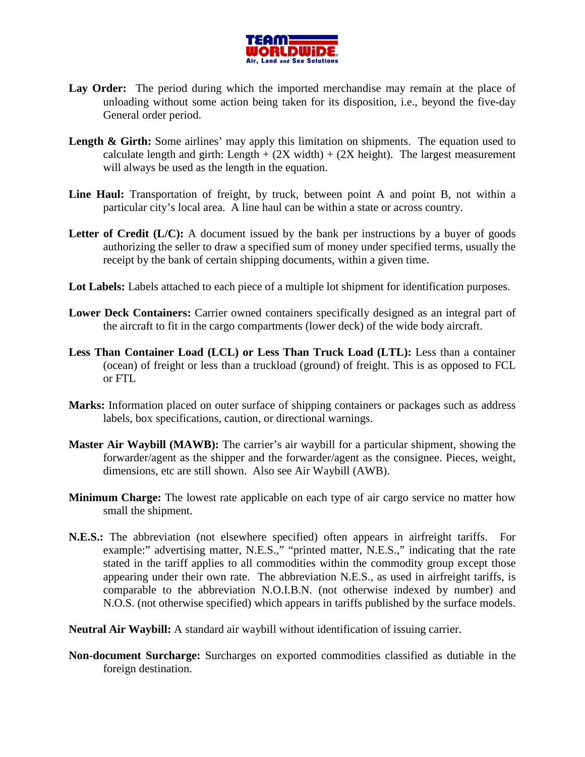

- Lay Order: The period during which the imported merchandise may remain at the place of unloading without some action being taken for its disposition, i.e., beyond the five-day General order period.
- Length & Girth: Some airlines' may apply this limitation on shipments. The equation used to calculate length and girth: Length  $+ (2X \text{ width}) + (2X \text{ height})$ . The largest measurement will always be used as the length in the equation.
- Line Haul: Transportation of freight, by truck, between point A and point B, not within a particular city's local area. A line haul can be within a state or across country.
- Letter of Credit (L/C): A document issued by the bank per instructions by a buyer of goods authorizing the seller to draw a specified sum of money under specified terms, usually the receipt by the bank of certain shipping documents, within a given time.
- Lot Labels: Labels attached to each piece of a multiple lot shipment for identification purposes.
- **Lower Deck Containers:** Carrier owned containers specifically designed as an integral part of the aircraft to fit in the cargo compartments (lower deck) of the wide body aircraft.
- **Less Than Container Load (LCL) or Less Than Truck Load (LTL):** Less than a container (ocean) of freight or less than a truckload (ground) of freight. This is as opposed to FCL or FTL
- **Marks:** Information placed on outer surface of shipping containers or packages such as address labels, box specifications, caution, or directional warnings.
- **Master Air Waybill (MAWB):** The carrier's air waybill for a particular shipment, showing the forwarder/agent as the shipper and the forwarder/agent as the consignee. Pieces, weight, dimensions, etc are still shown. Also see Air Waybill (AWB).
- **Minimum Charge:** The lowest rate applicable on each type of air cargo service no matter how small the shipment.
- **N.E.S.:** The abbreviation (not elsewhere specified) often appears in airfreight tariffs. For example:" advertising matter, N.E.S.," "printed matter, N.E.S.," indicating that the rate stated in the tariff applies to all commodities within the commodity group except those appearing under their own rate. The abbreviation N.E.S., as used in airfreight tariffs, is comparable to the abbreviation N.O.I.B.N. (not otherwise indexed by number) and N.O.S. (not otherwise specified) which appears in tariffs published by the surface models.
- **Neutral Air Waybill:** A standard air waybill without identification of issuing carrier.
- **Non-document Surcharge:** Surcharges on exported commodities classified as dutiable in the foreign destination.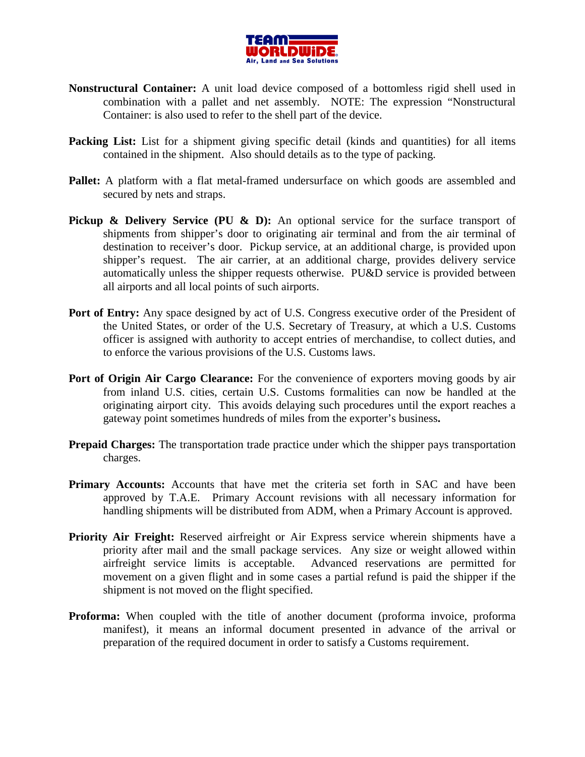

- **Nonstructural Container:** A unit load device composed of a bottomless rigid shell used in combination with a pallet and net assembly. NOTE: The expression "Nonstructural Container: is also used to refer to the shell part of the device.
- **Packing List:** List for a shipment giving specific detail (kinds and quantities) for all items contained in the shipment. Also should details as to the type of packing.
- **Pallet:** A platform with a flat metal-framed undersurface on which goods are assembled and secured by nets and straps.
- **Pickup & Delivery Service (PU & D):** An optional service for the surface transport of shipments from shipper's door to originating air terminal and from the air terminal of destination to receiver's door. Pickup service, at an additional charge, is provided upon shipper's request. The air carrier, at an additional charge, provides delivery service automatically unless the shipper requests otherwise. PU&D service is provided between all airports and all local points of such airports.
- **Port of Entry:** Any space designed by act of U.S. Congress executive order of the President of the United States, or order of the U.S. Secretary of Treasury, at which a U.S. Customs officer is assigned with authority to accept entries of merchandise, to collect duties, and to enforce the various provisions of the U.S. Customs laws.
- Port of Origin Air Cargo Clearance: For the convenience of exporters moving goods by air from inland U.S. cities, certain U.S. Customs formalities can now be handled at the originating airport city. This avoids delaying such procedures until the export reaches a gateway point sometimes hundreds of miles from the exporter's business**.**
- **Prepaid Charges:** The transportation trade practice under which the shipper pays transportation charges.
- **Primary Accounts:** Accounts that have met the criteria set forth in SAC and have been approved by T.A.E. Primary Account revisions with all necessary information for handling shipments will be distributed from ADM, when a Primary Account is approved.
- **Priority Air Freight:** Reserved airfreight or Air Express service wherein shipments have a priority after mail and the small package services. Any size or weight allowed within airfreight service limits is acceptable. Advanced reservations are permitted for movement on a given flight and in some cases a partial refund is paid the shipper if the shipment is not moved on the flight specified.
- **Proforma:** When coupled with the title of another document (proforma invoice, proforma manifest), it means an informal document presented in advance of the arrival or preparation of the required document in order to satisfy a Customs requirement.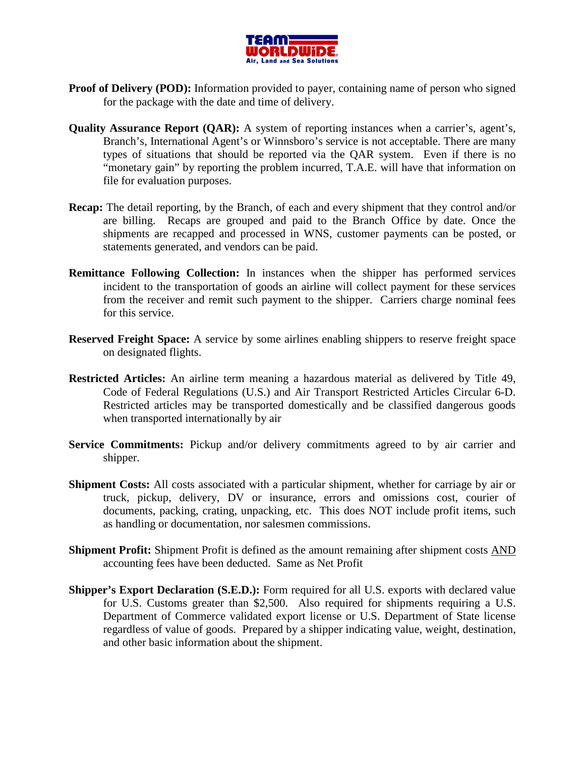

- **Proof of Delivery (POD):** Information provided to payer, containing name of person who signed for the package with the date and time of delivery.
- **Quality Assurance Report (QAR):** A system of reporting instances when a carrier's, agent's, Branch's, International Agent's or Winnsboro's service is not acceptable. There are many types of situations that should be reported via the QAR system. Even if there is no "monetary gain" by reporting the problem incurred, T.A.E. will have that information on file for evaluation purposes.
- **Recap:** The detail reporting, by the Branch, of each and every shipment that they control and/or are billing. Recaps are grouped and paid to the Branch Office by date. Once the shipments are recapped and processed in WNS, customer payments can be posted, or statements generated, and vendors can be paid.
- **Remittance Following Collection:** In instances when the shipper has performed services incident to the transportation of goods an airline will collect payment for these services from the receiver and remit such payment to the shipper. Carriers charge nominal fees for this service.
- **Reserved Freight Space:** A service by some airlines enabling shippers to reserve freight space on designated flights.
- **Restricted Articles:** An airline term meaning a hazardous material as delivered by Title 49, Code of Federal Regulations (U.S.) and Air Transport Restricted Articles Circular 6-D. Restricted articles may be transported domestically and be classified dangerous goods when transported internationally by air
- **Service Commitments:** Pickup and/or delivery commitments agreed to by air carrier and shipper.
- **Shipment Costs:** All costs associated with a particular shipment, whether for carriage by air or truck, pickup, delivery, DV or insurance, errors and omissions cost, courier of documents, packing, crating, unpacking, etc. This does NOT include profit items, such as handling or documentation, nor salesmen commissions.
- **Shipment Profit:** Shipment Profit is defined as the amount remaining after shipment costs AND accounting fees have been deducted. Same as Net Profit
- **Shipper's Export Declaration (S.E.D.):** Form required for all U.S. exports with declared value for U.S. Customs greater than \$2,500. Also required for shipments requiring a U.S. Department of Commerce validated export license or U.S. Department of State license regardless of value of goods. Prepared by a shipper indicating value, weight, destination, and other basic information about the shipment.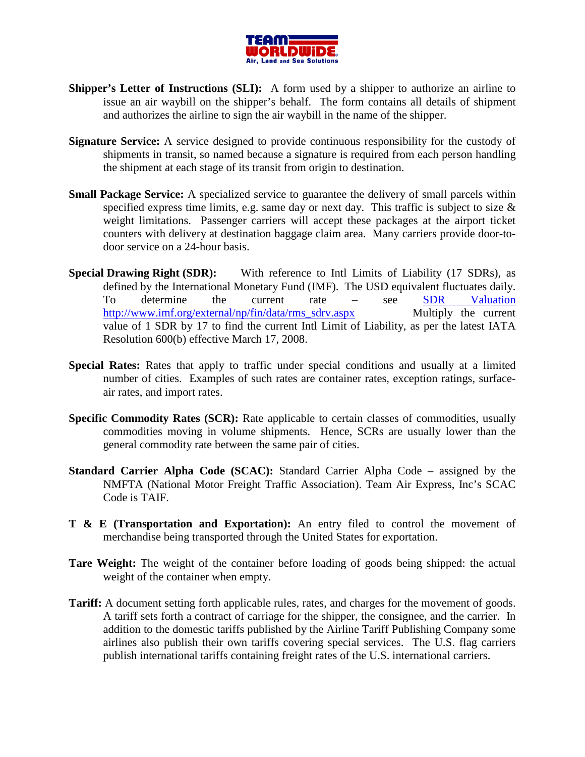

- **Shipper's Letter of Instructions (SLI):** A form used by a shipper to authorize an airline to issue an air waybill on the shipper's behalf. The form contains all details of shipment and authorizes the airline to sign the air waybill in the name of the shipper.
- **Signature Service:** A service designed to provide continuous responsibility for the custody of shipments in transit, so named because a signature is required from each person handling the shipment at each stage of its transit from origin to destination.
- **Small Package Service:** A specialized service to guarantee the delivery of small parcels within specified express time limits, e.g. same day or next day. This traffic is subject to size  $\&$ weight limitations. Passenger carriers will accept these packages at the airport ticket counters with delivery at destination baggage claim area. Many carriers provide door-todoor service on a 24-hour basis.
- **Special Drawing Right (SDR):** With reference to Intl Limits of Liability (17 SDRs), as defined by the International Monetary Fund (IMF). The USD equivalent fluctuates daily. To determine the current rate – see SDR Valuation http://www.imf.org/external/np/fin/data/rms\_sdrv.aspx Multiply the current value of 1 SDR by 17 to find the current Intl Limit of Liability, as per the latest IATA Resolution 600(b) effective March 17, 2008.
- **Special Rates:** Rates that apply to traffic under special conditions and usually at a limited number of cities. Examples of such rates are container rates, exception ratings, surfaceair rates, and import rates.
- **Specific Commodity Rates (SCR):** Rate applicable to certain classes of commodities, usually commodities moving in volume shipments. Hence, SCRs are usually lower than the general commodity rate between the same pair of cities.
- **Standard Carrier Alpha Code (SCAC):** Standard Carrier Alpha Code assigned by the NMFTA (National Motor Freight Traffic Association). Team Air Express, Inc's SCAC Code is TAIF.
- **T & E (Transportation and Exportation):** An entry filed to control the movement of merchandise being transported through the United States for exportation.
- Tare Weight: The weight of the container before loading of goods being shipped: the actual weight of the container when empty.
- **Tariff:** A document setting forth applicable rules, rates, and charges for the movement of goods. A tariff sets forth a contract of carriage for the shipper, the consignee, and the carrier. In addition to the domestic tariffs published by the Airline Tariff Publishing Company some airlines also publish their own tariffs covering special services. The U.S. flag carriers publish international tariffs containing freight rates of the U.S. international carriers.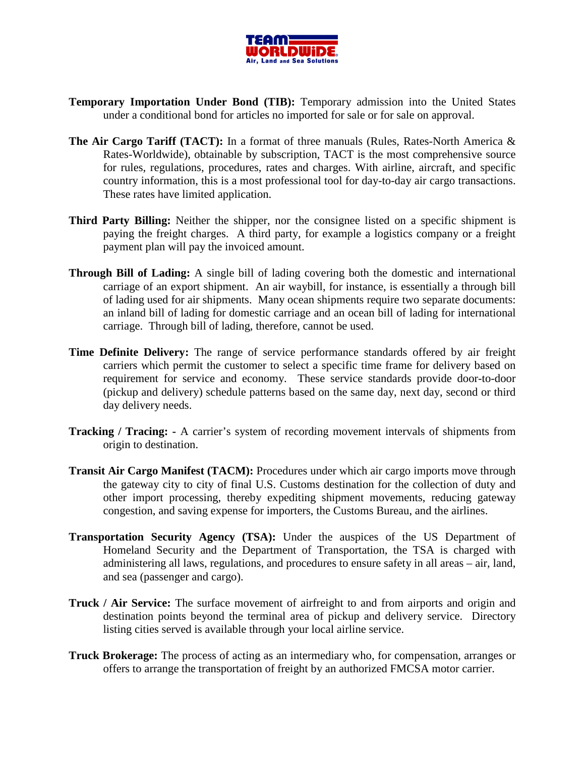

- **Temporary Importation Under Bond (TIB):** Temporary admission into the United States under a conditional bond for articles no imported for sale or for sale on approval.
- **The Air Cargo Tariff (TACT):** In a format of three manuals (Rules, Rates-North America & Rates-Worldwide), obtainable by subscription, TACT is the most comprehensive source for rules, regulations, procedures, rates and charges. With airline, aircraft, and specific country information, this is a most professional tool for day-to-day air cargo transactions. These rates have limited application.
- **Third Party Billing:** Neither the shipper, nor the consignee listed on a specific shipment is paying the freight charges. A third party, for example a logistics company or a freight payment plan will pay the invoiced amount.
- **Through Bill of Lading:** A single bill of lading covering both the domestic and international carriage of an export shipment. An air waybill, for instance, is essentially a through bill of lading used for air shipments. Many ocean shipments require two separate documents: an inland bill of lading for domestic carriage and an ocean bill of lading for international carriage. Through bill of lading, therefore, cannot be used.
- **Time Definite Delivery:** The range of service performance standards offered by air freight carriers which permit the customer to select a specific time frame for delivery based on requirement for service and economy. These service standards provide door-to-door (pickup and delivery) schedule patterns based on the same day, next day, second or third day delivery needs.
- **Tracking / Tracing:** A carrier's system of recording movement intervals of shipments from origin to destination.
- **Transit Air Cargo Manifest (TACM):** Procedures under which air cargo imports move through the gateway city to city of final U.S. Customs destination for the collection of duty and other import processing, thereby expediting shipment movements, reducing gateway congestion, and saving expense for importers, the Customs Bureau, and the airlines.
- **Transportation Security Agency (TSA):** Under the auspices of the US Department of Homeland Security and the Department of Transportation, the TSA is charged with administering all laws, regulations, and procedures to ensure safety in all areas – air, land, and sea (passenger and cargo).
- **Truck / Air Service:** The surface movement of airfreight to and from airports and origin and destination points beyond the terminal area of pickup and delivery service. Directory listing cities served is available through your local airline service.
- **Truck Brokerage:** The process of acting as an intermediary who, for compensation, arranges or offers to arrange the transportation of freight by an authorized FMCSA motor carrier.